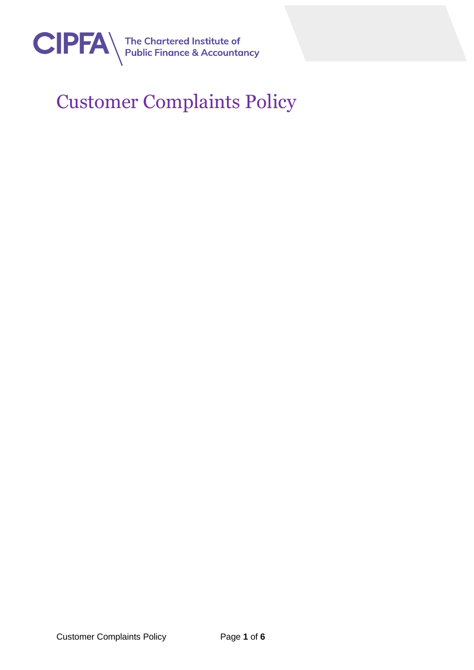

## Customer Complaints Policy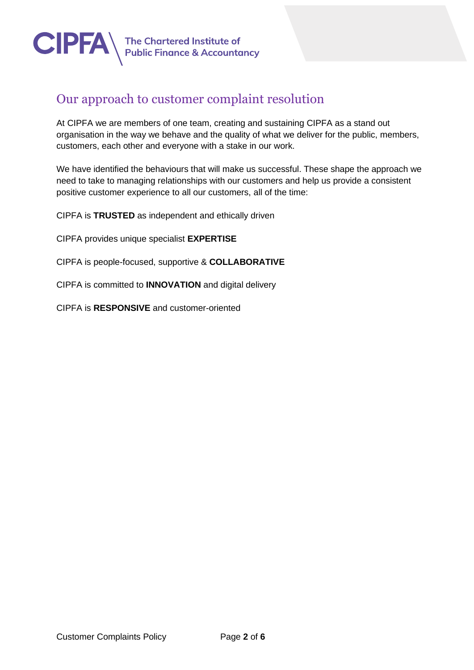

## Our approach to customer complaint resolution

At CIPFA we are members of one team, creating and sustaining CIPFA as a stand out organisation in the way we behave and the quality of what we deliver for the public, members, customers, each other and everyone with a stake in our work.

We have identified the behaviours that will make us successful. These shape the approach we need to take to managing relationships with our customers and help us provide a consistent positive customer experience to all our customers, all of the time:

CIPFA is **TRUSTED** as independent and ethically driven

CIPFA provides unique specialist **EXPERTISE**

CIPFA is people-focused, supportive & **COLLABORATIVE**

CIPFA is committed to **INNOVATION** and digital delivery

CIPFA is **RESPONSIVE** and customer-oriented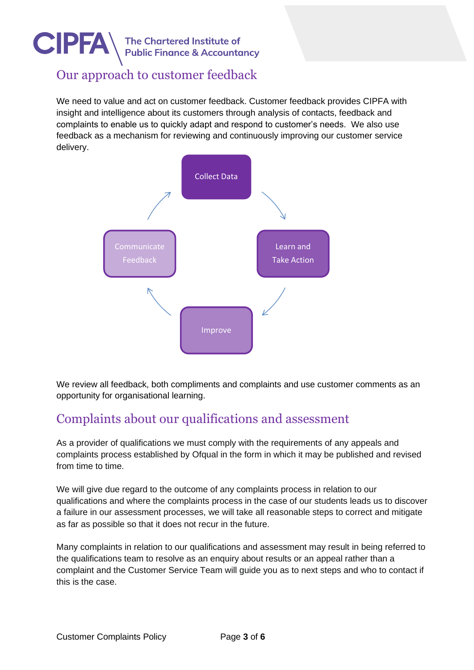

### Our approach to customer feedback

We need to value and act on customer feedback. Customer feedback provides CIPFA with insight and intelligence about its customers through analysis of contacts, feedback and complaints to enable us to quickly adapt and respond to customer's needs. We also use feedback as a mechanism for reviewing and continuously improving our customer service delivery.



We review all feedback, both compliments and complaints and use customer comments as an opportunity for organisational learning.

## Complaints about our qualifications and assessment

As a provider of qualifications we must comply with the requirements of any appeals and complaints process established by Ofqual in the form in which it may be published and revised from time to time.

We will give due regard to the outcome of any complaints process in relation to our qualifications and where the complaints process in the case of our students leads us to discover a failure in our assessment processes, we will take all reasonable steps to correct and mitigate as far as possible so that it does not recur in the future.

Many complaints in relation to our qualifications and assessment may result in being referred to the qualifications team to resolve as an enquiry about results or an appeal rather than a complaint and the Customer Service Team will guide you as to next steps and who to contact if this is the case.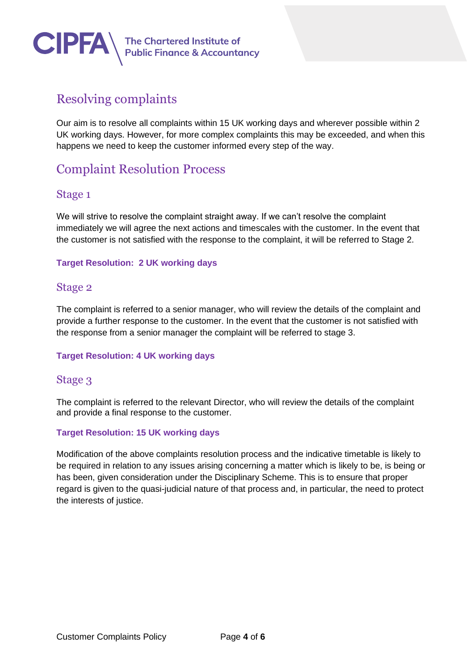

## Resolving complaints

Our aim is to resolve all complaints within 15 UK working days and wherever possible within 2 UK working days. However, for more complex complaints this may be exceeded, and when this happens we need to keep the customer informed every step of the way.

### Complaint Resolution Process

### Stage 1

We will strive to resolve the complaint straight away. If we can't resolve the complaint immediately we will agree the next actions and timescales with the customer. In the event that the customer is not satisfied with the response to the complaint, it will be referred to Stage 2.

### **Target Resolution: 2 UK working days**

### Stage 2

The complaint is referred to a senior manager, who will review the details of the complaint and provide a further response to the customer. In the event that the customer is not satisfied with the response from a senior manager the complaint will be referred to stage 3.

### **Target Resolution: 4 UK working days**

### Stage 3

The complaint is referred to the relevant Director, who will review the details of the complaint and provide a final response to the customer.

### **Target Resolution: 15 UK working days**

Modification of the above complaints resolution process and the indicative timetable is likely to be required in relation to any issues arising concerning a matter which is likely to be, is being or has been, given consideration under the Disciplinary Scheme. This is to ensure that proper regard is given to the quasi-judicial nature of that process and, in particular, the need to protect the interests of justice.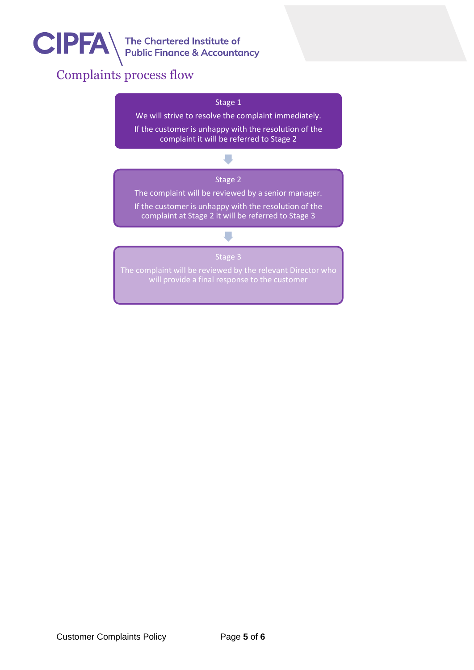

# The Chartered Institute of<br>Public Finance & Accountancy

## Complaints process flow

#### Stage 1

We will strive to resolve the complaint immediately. If the customer is unhappy with the resolution of the complaint it will be referred to Stage 2

## $\blacksquare$ Stage 2

The complaint will be reviewed by a senior manager.

If the customer is unhappy with the resolution of the complaint at Stage 2 it will be referred to Stage 3

### Stage 3

 $\overline{\phantom{a}}$ 

The complaint will be reviewed by the relevant Director who